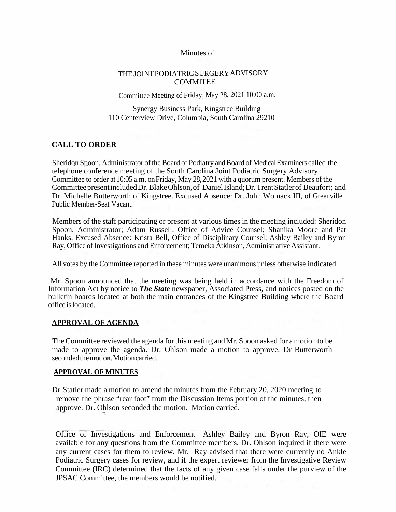### Minutes of

# THEJOINTPODIATRICSURGERYADVISORY COMMITEE

Committee Meeting of Friday, May 28, 2021 10:00 a.m.

Synergy Business Park, Kingstree Building 110 Centerview Drive, Columbia, South Carolina 29210

# **CALL TO ORDER**

Sheridon Spoon, Administrator of the Board of Podiatry and Board of Medical Examiners called the telephone conference meeting of the South Carolina Joint Podiatric Surgery Advisory Committee to order at 10:05 a.m. on Friday, May 28, 2021 with a quorum present. Members of the CommitteepresentincludedDr.BlakeOhlson,of DanielIsland;Dr.TrentStatlerof Beaufort; and Dr. Michelle Butterworth of Kingstree. Excused Absence: Dr. John Womack III, of Greenville. Public Member-Seat Vacant.

Members of the staff participating or present at various times in the meeting included: Sheridon Spoon, Administrator; Adam Russell, Office of Advice Counsel; Shanika Moore and Pat Hanks, Excused Absence: Krista Bell, Office of Disciplinary Counsel; Ashley Bailey and Byron Ray, Office of Investigations and Enforcement; Temeka Atkinson, Administrative Assistant.

All votes by the Committee reported in these minutes were unanimous unless otherwise indicated.

Mr. Spoon announced that the meeting was being held in accordance with the Freedom of Information Act by notice to *The State* newspaper, Associated Press, and notices posted on the bulletin boards located at both the main entrances of the Kingstree Building where the Board office islocated.

### **APPROVAL OF AGENDA**

TheCommittee reviewed the agenda for this meeting and Mr. Spoon asked for a motion to be made to approve the agenda. Dr. Ohlson made a motion to approve. Dr Butterworth secondedthemotion.Motioncarried.

### **APPROVAL OF MINUTES**

Dr.Statler made a motion to amend the minutes from the February 20, 2020 meeting to remove the phrase "rear foot" from the Discussion Items portion of the minutes, then approve. Dr. Ohlson seconded the motion. Motion carried.

Office of Investigations and Enforcement—Ashley Bailey and Byron Ray, OIE were available for any questions from the Committee members. Dr. Ohlson inquired if there were any current cases for them to review. Mr. Ray advised that there were currently no Ankle Podiatric Surgery cases for review, and if the expert reviewer from the Investigative Review Committee (IRC) determined that the facts of any given case falls under the purview of the JPSAC Committee, the members would be notified.